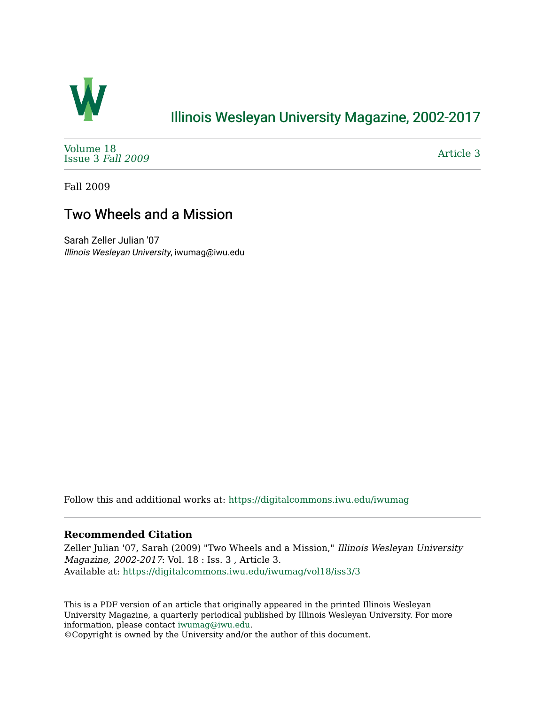

## [Illinois Wesleyan University Magazine, 2002-2017](https://digitalcommons.iwu.edu/iwumag)

[Volume 18](https://digitalcommons.iwu.edu/iwumag/vol18)  [Issue 3](https://digitalcommons.iwu.edu/iwumag/vol18/iss3) Fall 2009

[Article 3](https://digitalcommons.iwu.edu/iwumag/vol18/iss3/3) 

Fall 2009

## Two Wheels and a Mission

Sarah Zeller Julian '07 Illinois Wesleyan University, iwumag@iwu.edu

Follow this and additional works at: [https://digitalcommons.iwu.edu/iwumag](https://digitalcommons.iwu.edu/iwumag?utm_source=digitalcommons.iwu.edu%2Fiwumag%2Fvol18%2Fiss3%2F3&utm_medium=PDF&utm_campaign=PDFCoverPages) 

#### **Recommended Citation**

Zeller Julian '07, Sarah (2009) "Two Wheels and a Mission," Illinois Wesleyan University Magazine, 2002-2017: Vol. 18 : Iss. 3 , Article 3. Available at: [https://digitalcommons.iwu.edu/iwumag/vol18/iss3/3](https://digitalcommons.iwu.edu/iwumag/vol18/iss3/3?utm_source=digitalcommons.iwu.edu%2Fiwumag%2Fvol18%2Fiss3%2F3&utm_medium=PDF&utm_campaign=PDFCoverPages)

This is a PDF version of an article that originally appeared in the printed Illinois Wesleyan University Magazine, a quarterly periodical published by Illinois Wesleyan University. For more information, please contact [iwumag@iwu.edu](mailto:iwumag@iwu.edu).

©Copyright is owned by the University and/or the author of this document.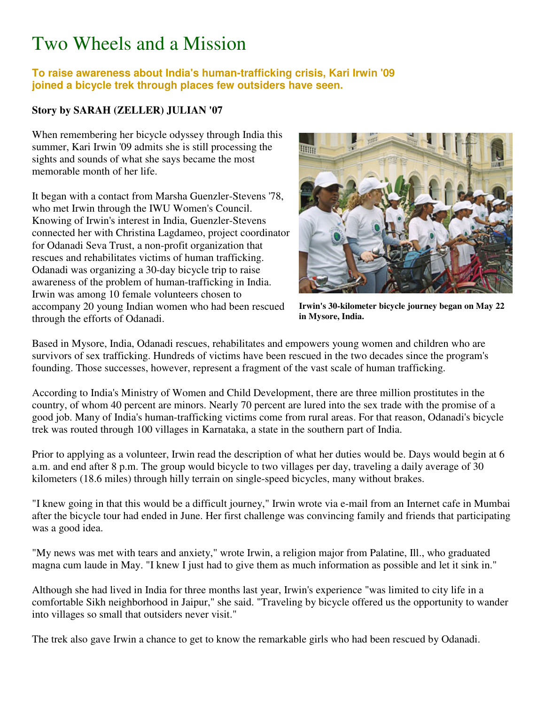# Two Wheels and a Mission

### **To raise awareness about India's human-trafficking crisis, Kari Irwin '09 joined a bicycle trek through places few outsiders have seen.**

### **Story by SARAH (ZELLER) JULIAN '07**

When remembering her bicycle odyssey through India this summer, Kari Irwin '09 admits she is still processing the sights and sounds of what she says became the most memorable month of her life.

It began with a contact from Marsha Guenzler-Stevens '78, who met Irwin through the IWU Women's Council. Knowing of Irwin's interest in India, Guenzler-Stevens connected her with Christina Lagdameo, project coordinator for Odanadi Seva Trust, a non-profit organization that rescues and rehabilitates victims of human trafficking. Odanadi was organizing a 30-day bicycle trip to raise awareness of the problem of human-trafficking in India. Irwin was among 10 female volunteers chosen to accompany 20 young Indian women who had been rescued through the efforts of Odanadi.



**Irwin's 30-kilometer bicycle journey began on May 22 in Mysore, India.**

Based in Mysore, India, Odanadi rescues, rehabilitates and empowers young women and children who are survivors of sex trafficking. Hundreds of victims have been rescued in the two decades since the program's founding. Those successes, however, represent a fragment of the vast scale of human trafficking.

According to India's Ministry of Women and Child Development, there are three million prostitutes in the country, of whom 40 percent are minors. Nearly 70 percent are lured into the sex trade with the promise of a good job. Many of India's human-trafficking victims come from rural areas. For that reason, Odanadi's bicycle trek was routed through 100 villages in Karnataka, a state in the southern part of India.

Prior to applying as a volunteer, Irwin read the description of what her duties would be. Days would begin at 6 a.m. and end after 8 p.m. The group would bicycle to two villages per day, traveling a daily average of 30 kilometers (18.6 miles) through hilly terrain on single-speed bicycles, many without brakes.

"I knew going in that this would be a difficult journey," Irwin wrote via e-mail from an Internet cafe in Mumbai after the bicycle tour had ended in June. Her first challenge was convincing family and friends that participating was a good idea.

"My news was met with tears and anxiety," wrote Irwin, a religion major from Palatine, Ill., who graduated magna cum laude in May. "I knew I just had to give them as much information as possible and let it sink in."

Although she had lived in India for three months last year, Irwin's experience "was limited to city life in a comfortable Sikh neighborhood in Jaipur," she said. "Traveling by bicycle offered us the opportunity to wander into villages so small that outsiders never visit."

The trek also gave Irwin a chance to get to know the remarkable girls who had been rescued by Odanadi.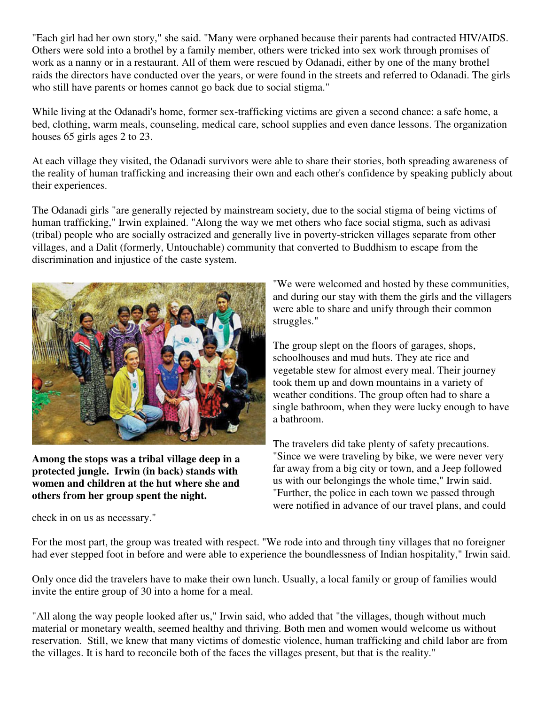"Each girl had her own story," she said. "Many were orphaned because their parents had contracted HIV/AIDS. Others were sold into a brothel by a family member, others were tricked into sex work through promises of work as a nanny or in a restaurant. All of them were rescued by Odanadi, either by one of the many brothel raids the directors have conducted over the years, or were found in the streets and referred to Odanadi. The girls who still have parents or homes cannot go back due to social stigma."

While living at the Odanadi's home, former sex-trafficking victims are given a second chance: a safe home, a bed, clothing, warm meals, counseling, medical care, school supplies and even dance lessons. The organization houses 65 girls ages 2 to 23.

At each village they visited, the Odanadi survivors were able to share their stories, both spreading awareness of the reality of human trafficking and increasing their own and each other's confidence by speaking publicly about their experiences.

The Odanadi girls "are generally rejected by mainstream society, due to the social stigma of being victims of human trafficking," Irwin explained. "Along the way we met others who face social stigma, such as adivasi (tribal) people who are socially ostracized and generally live in poverty-stricken villages separate from other villages, and a Dalit (formerly, Untouchable) community that converted to Buddhism to escape from the discrimination and injustice of the caste system.



**Among the stops was a tribal village deep in a protected jungle. Irwin (in back) stands with women and children at the hut where she and others from her group spent the night.**

check in on us as necessary."

"We were welcomed and hosted by these communities, and during our stay with them the girls and the villagers were able to share and unify through their common struggles."

The group slept on the floors of garages, shops, schoolhouses and mud huts. They ate rice and vegetable stew for almost every meal. Their journey took them up and down mountains in a variety of weather conditions. The group often had to share a single bathroom, when they were lucky enough to have a bathroom.

The travelers did take plenty of safety precautions. "Since we were traveling by bike, we were never very far away from a big city or town, and a Jeep followed us with our belongings the whole time," Irwin said. "Further, the police in each town we passed through were notified in advance of our travel plans, and could

For the most part, the group was treated with respect. "We rode into and through tiny villages that no foreigner had ever stepped foot in before and were able to experience the boundlessness of Indian hospitality," Irwin said.

Only once did the travelers have to make their own lunch. Usually, a local family or group of families would invite the entire group of 30 into a home for a meal.

"All along the way people looked after us," Irwin said, who added that "the villages, though without much material or monetary wealth, seemed healthy and thriving. Both men and women would welcome us without reservation. Still, we knew that many victims of domestic violence, human trafficking and child labor are from the villages. It is hard to reconcile both of the faces the villages present, but that is the reality."